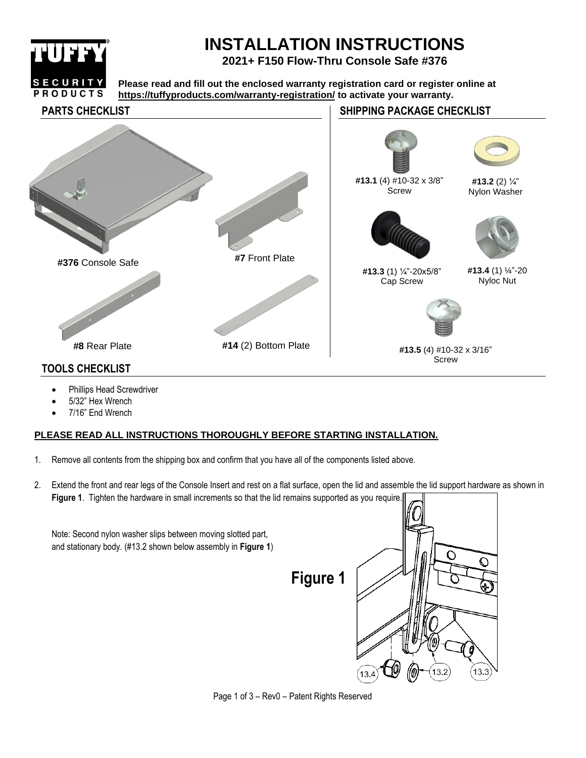

- Phillips Head Screwdriver
- 5/32" Hex Wrench
- 7/16" End Wrench

## **PLEASE READ ALL INSTRUCTIONS THOROUGHLY BEFORE STARTING INSTALLATION.**

- 1. Remove all contents from the shipping box and confirm that you have all of the components listed above.
- 2. Extend the front and rear legs of the Console Insert and rest on a flat surface, open the lid and assemble the lid support hardware as shown in **Figure 1**. Tighten the hardware in small increments so that the lid remains supported as you require.

| Note: Second nylon washer slips between moving slotted part,<br>and stationary body. (#13.2 shown below assembly in Figure 1)<br><b>Figure 1</b> |  |  |
|--------------------------------------------------------------------------------------------------------------------------------------------------|--|--|
|--------------------------------------------------------------------------------------------------------------------------------------------------|--|--|

Page 1 of 3 – Rev0 – Patent Rights Reserved

13.3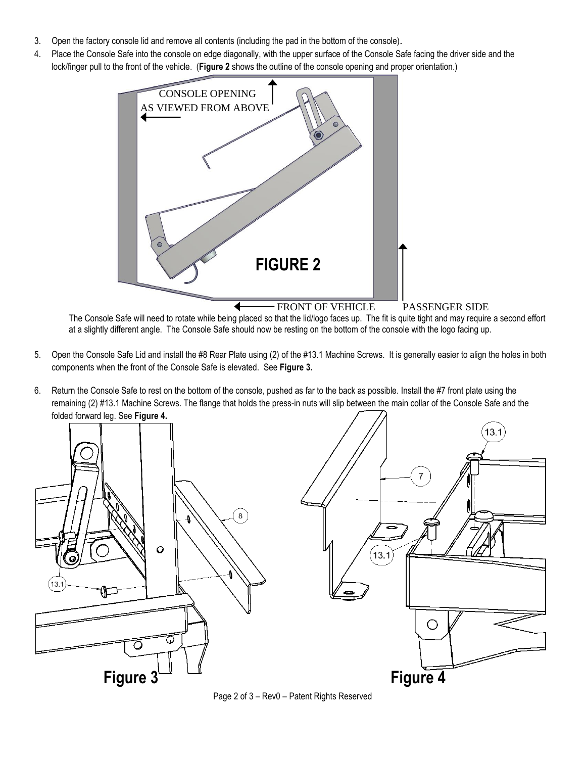- 3. Open the factory console lid and remove all contents (including the pad in the bottom of the console).
- 4. Place the Console Safe into the console on edge diagonally, with the upper surface of the Console Safe facing the driver side and the lock/finger pull to the front of the vehicle. (**Figure 2** shows the outline of the console opening and proper orientation.)



 FRONT OF VEHICLE PASSENGER SIDE The Console Safe will need to rotate while being placed so that the lid/logo faces up. The fit is quite tight and may require a second effort at a slightly different angle. The Console Safe should now be resting on the bottom of the console with the logo facing up.

- 5. Open the Console Safe Lid and install the #8 Rear Plate using (2) of the #13.1 Machine Screws. It is generally easier to align the holes in both components when the front of the Console Safe is elevated. See **Figure 3.**
- 6. Return the Console Safe to rest on the bottom of the console, pushed as far to the back as possible. Install the #7 front plate using the remaining (2) #13.1 Machine Screws. The flange that holds the press-in nuts will slip between the main collar of the Console Safe and the folded forward leg. See **Figure 4.**



Page 2 of 3 – Rev0 – Patent Rights Reserved